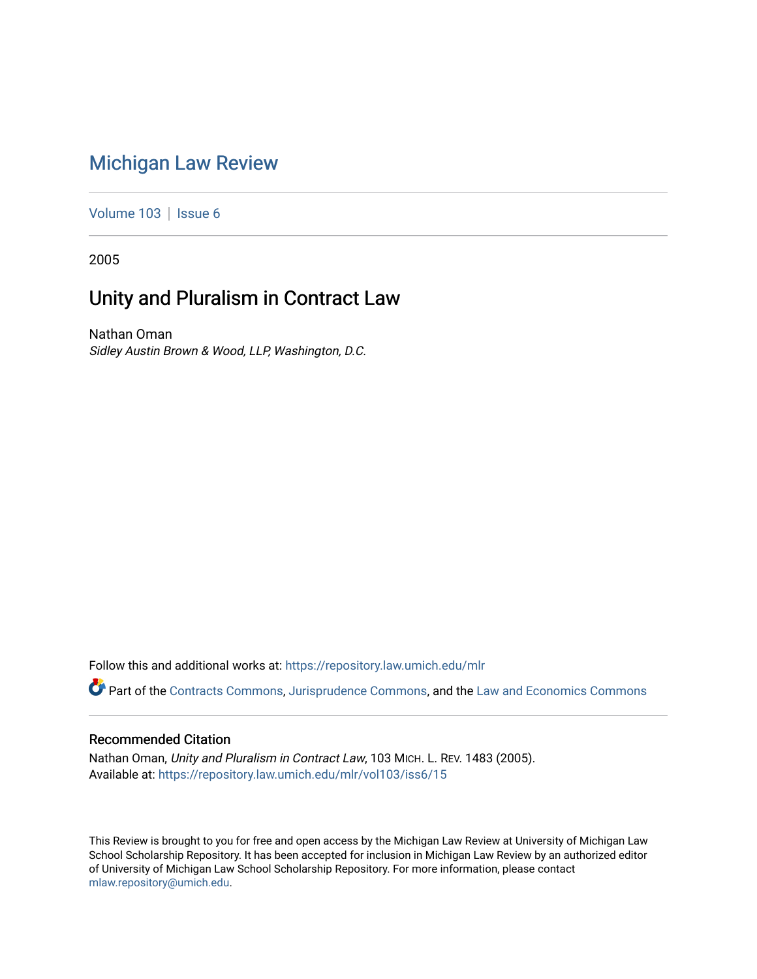# [Michigan Law Review](https://repository.law.umich.edu/mlr)

[Volume 103](https://repository.law.umich.edu/mlr/vol103) | [Issue 6](https://repository.law.umich.edu/mlr/vol103/iss6)

2005

## Unity and Pluralism in Contract Law

Nathan Oman Sidley Austin Brown & Wood, LLP, Washington, D.C.

Follow this and additional works at: [https://repository.law.umich.edu/mlr](https://repository.law.umich.edu/mlr?utm_source=repository.law.umich.edu%2Fmlr%2Fvol103%2Fiss6%2F15&utm_medium=PDF&utm_campaign=PDFCoverPages) 

Part of the [Contracts Commons](http://network.bepress.com/hgg/discipline/591?utm_source=repository.law.umich.edu%2Fmlr%2Fvol103%2Fiss6%2F15&utm_medium=PDF&utm_campaign=PDFCoverPages), [Jurisprudence Commons,](http://network.bepress.com/hgg/discipline/610?utm_source=repository.law.umich.edu%2Fmlr%2Fvol103%2Fiss6%2F15&utm_medium=PDF&utm_campaign=PDFCoverPages) and the [Law and Economics Commons](http://network.bepress.com/hgg/discipline/612?utm_source=repository.law.umich.edu%2Fmlr%2Fvol103%2Fiss6%2F15&utm_medium=PDF&utm_campaign=PDFCoverPages) 

## Recommended Citation

Nathan Oman, Unity and Pluralism in Contract Law, 103 MICH. L. REV. 1483 (2005). Available at: [https://repository.law.umich.edu/mlr/vol103/iss6/15](https://repository.law.umich.edu/mlr/vol103/iss6/15?utm_source=repository.law.umich.edu%2Fmlr%2Fvol103%2Fiss6%2F15&utm_medium=PDF&utm_campaign=PDFCoverPages) 

This Review is brought to you for free and open access by the Michigan Law Review at University of Michigan Law School Scholarship Repository. It has been accepted for inclusion in Michigan Law Review by an authorized editor of University of Michigan Law School Scholarship Repository. For more information, please contact [mlaw.repository@umich.edu.](mailto:mlaw.repository@umich.edu)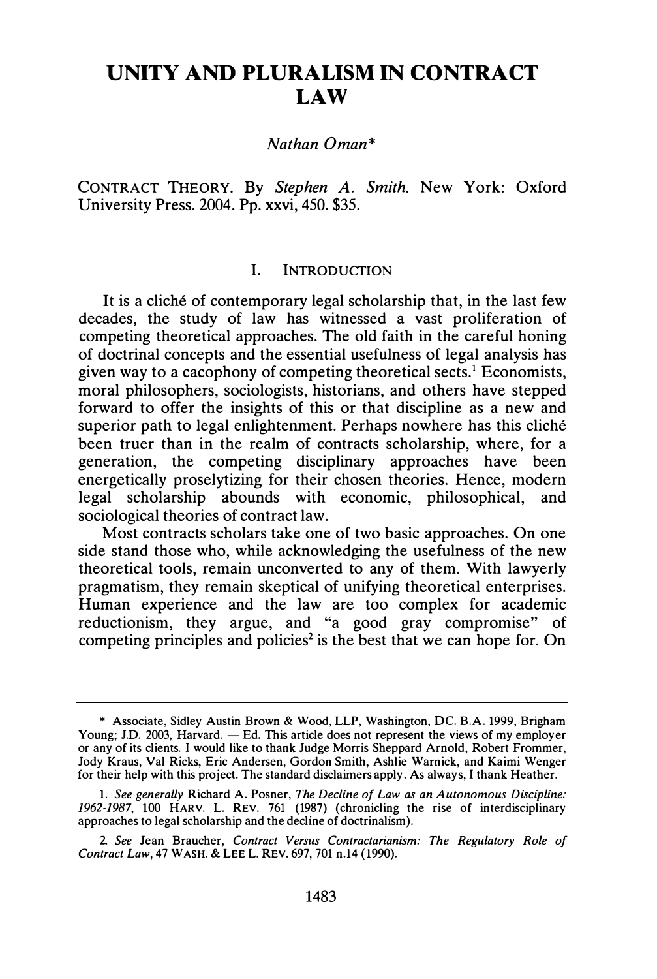## UNITY AND PLURALISM IN CONTRACT LAW

#### Nathan Oman\*

CONTRACT THEORY. By Stephen A. Smith. New York: Oxford University Press. 2004. Pp. xxvi, 450. \$35.

#### I. INTRODUCTION

It is a cliche of contemporary legal scholarship that, in the last few decades, the study of law has witnessed a vast proliferation of competing theoretical approaches. The old faith in the careful honing of doctrinal concepts and the essential usefulness of legal analysis has given way to a cacophony of competing theoretical sects.1 Economists, moral philosophers, sociologists, historians, and others have stepped forward to offer the insights of this or that discipline as a new and superior path to legal enlightenment. Perhaps nowhere has this cliché been truer than in the realm of contracts scholarship, where, for a generation, the competing disciplinary approaches have been energetically proselytizing for their chosen theories. Hence, modern legal scholarship abounds with economic, philosophical, and sociological theories of contract law.

Most contracts scholars take one of two basic approaches. On one side stand those who, while acknowledging the usefulness of the new theoretical tools, remain unconverted to any of them. With lawyerly pragmatism, they remain skeptical of unifying theoretical enterprises. Human experience and the law are too complex for academic reductionism, they argue, and "a good gray compromise" of competing principles and policies<sup>2</sup> is the best that we can hope for. On

<sup>\*</sup> Associate, Sidley Austin Brown & Wood, LLP, Washington, DC. B.A. 1999, Brigham Young; J.D. 2003, Harvard. - Ed. This article does not represent the views of my employer or any of its clients. I would like to thank Judge Morris Sheppard Arnold, Robert Frommer, Jody Kraus, Val Ricks, Eric Andersen, Gordon Smith, Ashlie Warnick, and Kaimi Wenger for their help with this project. The standard disclaimers apply. As always, I thank Heather.

<sup>1.</sup> See generally Richard A. Posner, The Decline of Law as an Autonomous Discipline: 1962-1987, 100 HARV. L. REV. 761 (1987) (chronicling the rise of interdisciplinary approaches to legal scholarship and the decline of doctrinalism).

<sup>2</sup> See Jean Braucher, Contract Versus Contractarianism: The Regulatory Role of Contract Law, 47 WASH. & LEE L. REV. 697, 701 n.14 (1990).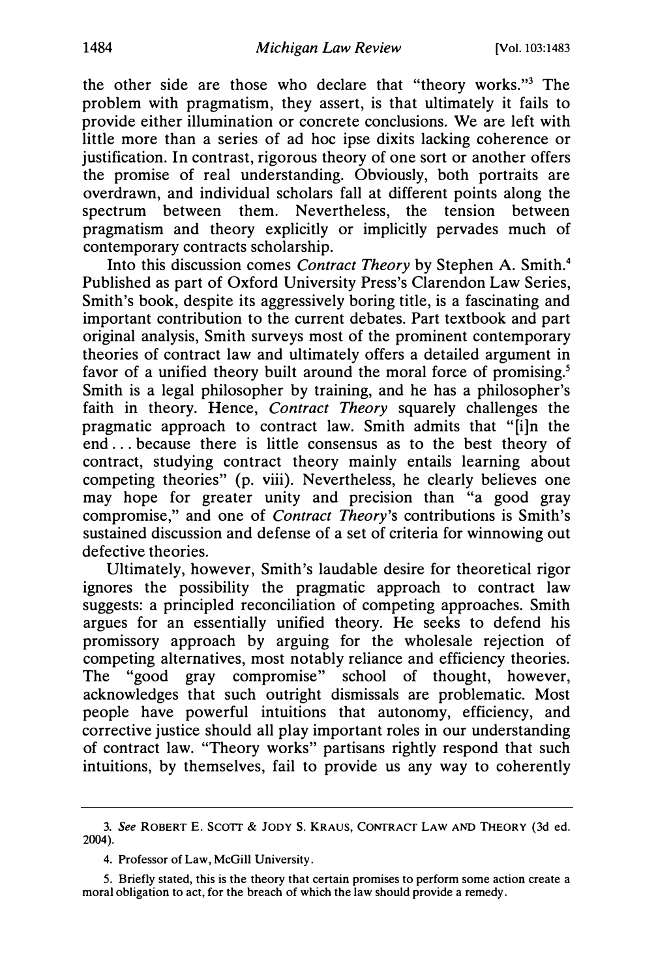the other side are those who declare that "theory works."3 The problem with pragmatism, they assert, is that ultimately it fails to provide either illumination or concrete conclusions. We are left with little more than a series of ad hoc ipse dixits lacking coherence or justification. In contrast, rigorous theory of one sort or another offers the promise of real understanding. Obviously, both portraits are overdrawn, and individual scholars fall at different points along the spectrum between them. Nevertheless, the tension between pragmatism and theory explicitly or implicitly pervades much of contemporary contracts scholarship.

Into this discussion comes Contract Theory by Stephen A. Smith.<sup>4</sup> Published as part of Oxford University Press's Clarendon Law Series, Smith's book, despite its aggressively boring title, is a fascinating and important contribution to the current debates. Part textbook and part original analysis, Smith surveys most of the prominent contemporary theories of contract law and ultimately offers a detailed argument in favor of a unified theory built around the moral force of promising.<sup>5</sup> Smith is a legal philosopher by training, and he has a philosopher's faith in theory. Hence, Contract Theory squarely challenges the pragmatic approach to contract law. Smith admits that "[i]n the end ... because there is little consensus as to the best theory of contract, studying contract theory mainly entails learning about competing theories" (p. viii). Nevertheless, he clearly believes one may hope for greater unity and precision than "a good gray compromise," and one of Contract Theory's contributions is Smith's sustained discussion and defense of a set of criteria for winnowing out defective theories.

Ultimately, however, Smith's laudable desire for theoretical rigor ignores the possibility the pragmatic approach to contract law suggests: a principled reconciliation of competing approaches. Smith argues for an essentially unified theory. He seeks to defend his promissory approach by arguing for the wholesale rejection of competing alternatives, most notably reliance and efficiency theories. The "good gray compromise" school of thought, however, acknowledges that such outright dismissals are problematic. Most people have powerful intuitions that autonomy, efficiency, and corrective justice should all play important roles in our understanding of contract law. "Theory works" partisans rightly respond that such intuitions, by themselves, fail to provide us any way to coherently

<sup>3.</sup> See ROBERT E. SCOTT & JODY s. KRAUS, CONTRACT LAW AND THEORY (3d ed. 2004).

<sup>4.</sup> Professor of Law, McGill University.

<sup>5.</sup> Briefly stated, this is the theory that certain promises to perform some action create a moral obligation to act, for the breach of which the law should provide a remedy.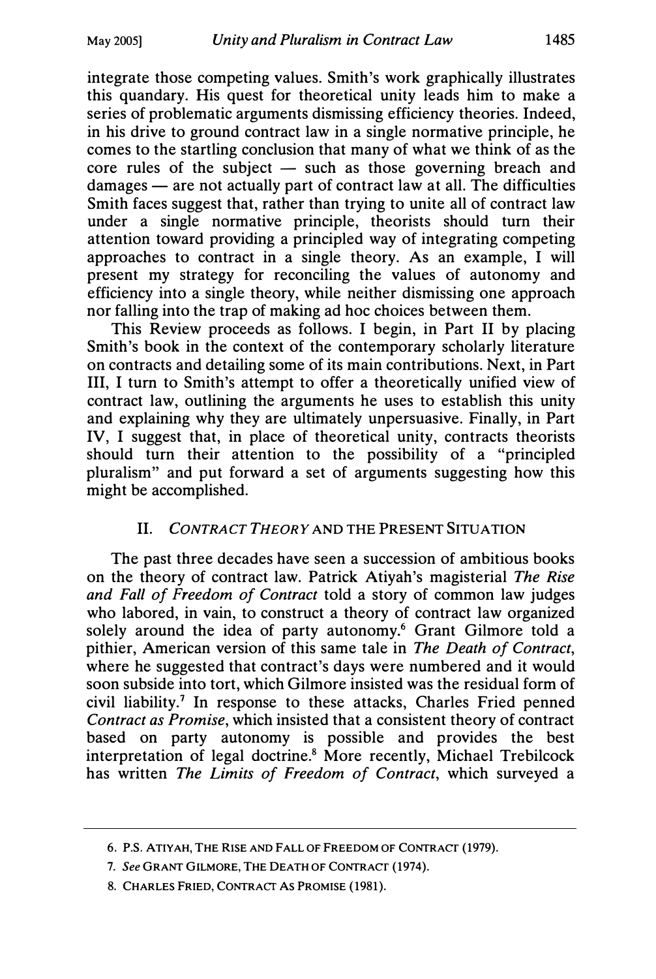integrate those competing values. Smith's work graphically illustrates this quandary. His quest for theoretical unity leads him to make a series of problematic arguments dismissing efficiency theories. Indeed, in his drive to ground contract law in a single normative principle, he comes to the startling conclusion that many of what we think of as the core rules of the subject  $-$  such as those governing breach and  $damages$   $-$  are not actually part of contract law at all. The difficulties Smith faces suggest that, rather than trying to unite all of contract law under a single normative principle, theorists should turn their attention toward providing a principled way of integrating competing approaches to contract in a single theory. As an example, I will present my strategy for reconciling the values of autonomy and efficiency into a single theory, while neither dismissing one approach nor falling into the trap of making ad hoc choices between them.

This Review proceeds as follows. I begin, in Part II by placing Smith's book in the context of the contemporary scholarly literature on contracts and detailing some of its main contributions. Next, in Part III, I turn to Smith's attempt to offer a theoretically unified view of contract law, outlining the arguments he uses to establish this unity and explaining why they are ultimately unpersuasive. Finally, in Part IV, I suggest that, in place of theoretical unity, contracts theorists should turn their attention to the possibility of a "principled pluralism" and put forward a set of arguments suggesting how this might be accomplished.

### II. CONTRACT THEORY AND THE PRESENT SITUATION

The past three decades have seen a succession of ambitious books on the theory of contract law. Patrick Atiyah's magisterial The Rise and Fall of Freedom of Contract told a story of common law judges who labored, in vain, to construct a theory of contract law organized solely around the idea of party autonomy.<sup>6</sup> Grant Gilmore told a pithier, American version of this same tale in The Death of Contract, where he suggested that contract's days were numbered and it would soon subside into tort, which Gilmore insisted was the residual form of civil liability.<sup>7</sup> In response to these attacks, Charles Fried penned Contract as Promise, which insisted that a consistent theory of contract based on party autonomy is possible and provides the best interpretation of legal doctrine.<sup>8</sup> More recently, Michael Trebilcock has written The Limits of Freedom of Contract, which surveyed a

<sup>6.</sup> P.S. ATIYAH, THE RISE AND FALL OF FREEDOM OF CONTRACT (1979).

<sup>7.</sup> See GRANT GILMORE, THE DEATH OF CONTRACT (1974).

<sup>8.</sup> CHARLES FRIED, CONTRACT AS PROMISE (1981).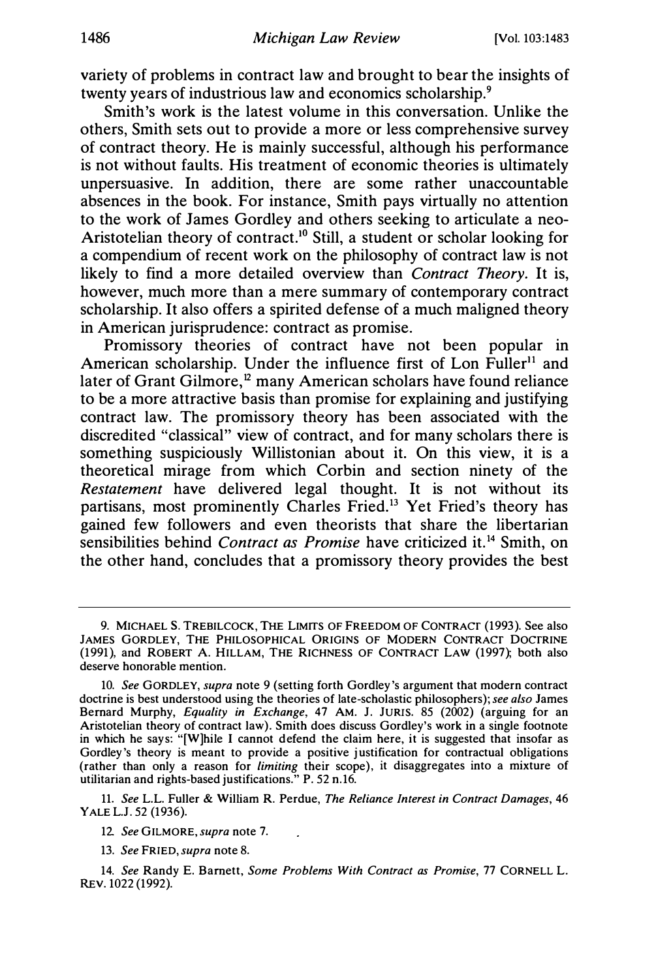variety of problems in contract law and brought to bear the insights of twenty years of industrious law and economics scholarship.<sup>9</sup>

Smith's work is the latest volume in this conversation. Unlike the others, Smith sets out to provide a more or less comprehensive survey of contract theory. He is mainly successful, although his performance is not without faults. His treatment of economic theories is ultimately unpersuasive. In addition, there are some rather unaccountable absences in the book. For instance, Smith pays virtually no attention to the work of James Gordley and others seeking to articulate a neo-Aristotelian theory of contract.<sup>10</sup> Still, a student or scholar looking for a compendium of recent work on the philosophy of contract law is not likely to find a more detailed overview than Contract Theory. It is, however, much more than a mere summary of contemporary contract scholarship. It also offers a spirited defense of a much maligned theory in American jurisprudence: contract as promise.

Promissory theories of contract have not been popular in American scholarship. Under the influence first of Lon Fuller<sup>11</sup> and later of Grant Gilmore, $\mu$  many American scholars have found reliance to be a more attractive basis than promise for explaining and justifying contract law. The promissory theory has been associated with the discredited "classical" view of contract, and for many scholars there is something suspiciously Willistonian about it. On this view, it is a theoretical mirage from which Corbin and section ninety of the Restatement have delivered legal thought. It is not without its partisans, most prominently Charles Fried.<sup>13</sup> Yet Fried's theory has gained few followers and even theorists that share the libertarian sensibilities behind Contract as Promise have criticized it.<sup>14</sup> Smith, on the other hand, concludes that a promissory theory provides the best

11. See L.L. Fuller & William R. Perdue, The Reliance Interest in Contract Damages, 46 YALE L.J. 52 (1936).

13. See FRIED, supra note 8.

14. See Randy E. Barnett, Some Problems With Contract as Promise, 77 CORNELL L. REV. 1022 (1992).

<sup>9.</sup> MICHAEL S. TREBILCOCK, THE LIMITS OF FREEDOM OF CONTRACT (1993). See also JAMES GORDLEY, THE PHILOSOPHICAL ORIGINS OF MODERN CONTRACT DOCTRINE (1991), and ROBERT A HILLAM, THE RICHNESS OF CONTRACT LAW (1997); both also deserve honorable mention.

<sup>10.</sup> See GORDLEY, supra note 9 (setting forth Gordley's argument that modern contract doctrine is best understood using the theories of late-scholastic philosophers); see also James Bernard Murphy, Equality in Exchange, 47 AM. J. JURIS. 85 (2002) (arguing for an Aristotelian theory of contract law). Smith does discuss Gordley's work in a single footnote in which he says: "[W]hile I cannot defend the claim here, it is suggested that insofar as Gordley's theory is meant to provide a positive justification for contractual obligations (rather than only a reason for limiting their scope), it disaggregates into a mixture of utilitarian and rights-based justifications." P. 52 n.16.

<sup>12.</sup> See GILMORE, supra note 7.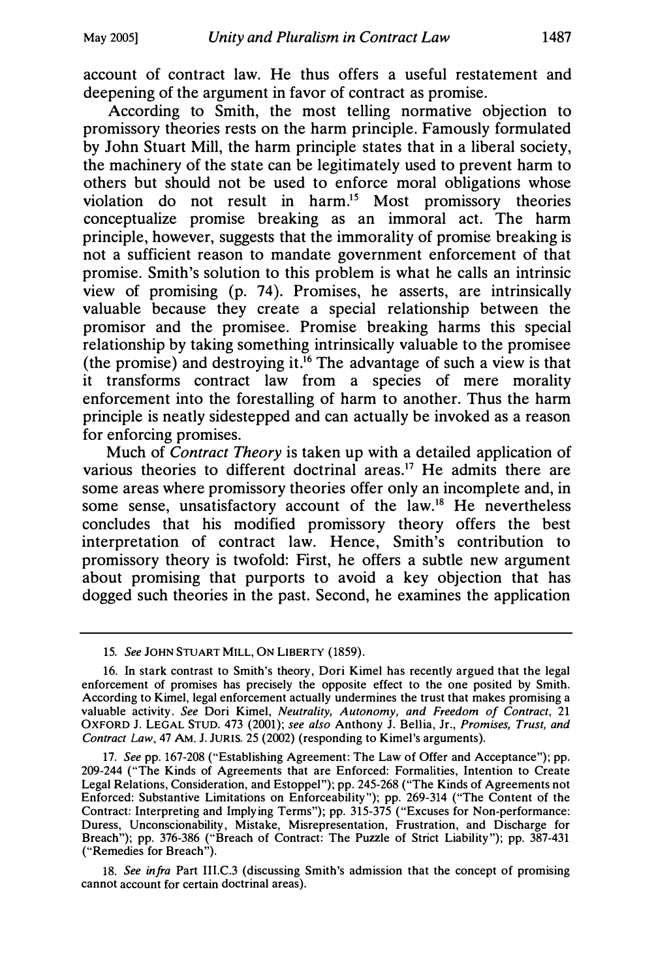account of contract law. He thus offers a useful restatement and deepening of the argument in favor of contract as promise.

According to Smith, the most telling normative objection to promissory theories rests on the harm principle. Famously formulated by John Stuart Mill, the harm principle states that in a liberal society, the machinery of the state can be legitimately used to prevent harm to others but should not be used to enforce moral obligations whose violation do not result in harm.15 Most promissory theories conceptualize promise breaking as an immoral act. The harm principle, however, suggests that the immorality of promise breaking is not a sufficient reason to mandate government enforcement of that promise. Smith's solution to this problem is what he calls an intrinsic view of promising (p. 74). Promises, he asserts, are intrinsically valuable because they create a special relationship between the promisor and the promisee. Promise breaking harms this special relationship by taking something intrinsically valuable to the promisee (the promise) and destroying it.<sup>16</sup> The advantage of such a view is that it transforms contract law from a species of mere morality enforcement into the forestalling of harm to another. Thus the harm principle is neatly sidestepped and can actually be invoked as a reason for enforcing promises.

Much of Contract Theory is taken up with a detailed application of various theories to different doctrinal areas.<sup>17</sup> He admits there are some areas where promissory theories offer only an incomplete and, in some sense, unsatisfactory account of the law.<sup>18</sup> He nevertheless concludes that his modified promissory theory offers the best interpretation of contract law. Hence, Smith's contribution to promissory theory is twofold: First, he offers a subtle new argument about promising that purports to avoid a key objection that has dogged such theories in the past. Second, he examines the application

<sup>15.</sup> See JOHN STUART MILL, ON LIBERTY (1859).

<sup>16.</sup> In stark contrast to Smith's theory, Dori Kimel has recently argued that the legal enforcement of promises has precisely the opposite effect to the one posited by Smith. According to Kimel, legal enforcement actually undermines the trust that makes promising a valuable activity. See Dori Kimel, Neutrality, Autonomy, and Freedom of Contract, 21 OXFORD J. LEGAL STUD. 473 (2001); see also Anthony J. Bellia, Jr., Promises, Trust, and Contract Law, 47 AM. J. JURIS. 25 (2002) (responding to Kimel's arguments).

<sup>17.</sup> See pp. 167-208 ("Establishing Agreement: The Law of Offer and Acceptance"); pp. 209-244 ("The Kinds of Agreements that are Enforced: Formalities, Intention to Create Legal Relations, Consideration, and Estoppel"); pp. 245-268 ("The Kinds of Agreements not Enforced: Substantive Limitations on Enforceability"); pp. 269-314 ("The Content of the Contract: Interpreting and Implying Terms"); pp. 315-375 ("Excuses for Non-performance: Duress, Unconscionability, Mistake, Misrepresentation, Frustration, and Discharge for Breach"); pp. 376-386 ("Breach of Contract: The Puzzle of Strict Liability"); pp. 387-431 ("Remedies for Breach").

<sup>18.</sup> See in fra Part III.C.3 (discussing Smith's admission that the concept of promising cannot account for certain doctrinal areas).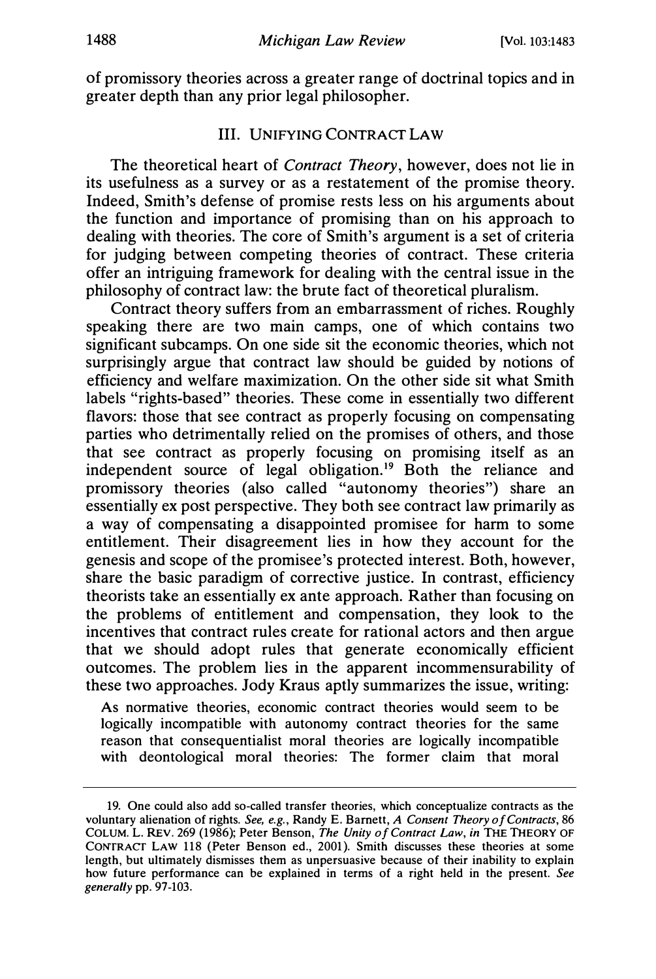of promissory theories across a greater range of doctrinal topics and in greater depth than any prior legal philosopher.

#### Ill. UNIFYING CONTRACT LAW

The theoretical heart of Contract Theory, however, does not lie in its usefulness as a survey or as a restatement of the promise theory. Indeed, Smith's defense of promise rests less on his arguments about the function and importance of promising than on his approach to dealing with theories. The core of Smith's argument is a set of criteria for judging between competing theories of contract. These criteria offer an intriguing framework for dealing with the central issue in the philosophy of contract law: the brute fact of theoretical pluralism.

Contract theory suffers from an embarrassment of riches. Roughly speaking there are two main camps, one of which contains two significant subcamps. On one side sit the economic theories, which not surprisingly argue that contract law should be guided by notions of efficiency and welfare maximization. On the other side sit what Smith labels "rights-based" theories. These come in essentially two different flavors: those that see contract as properly focusing on compensating parties who detrimentally relied on the promises of others, and those that see contract as properly focusing on promising itself as an independent source of legal obligation.<sup>19</sup> Both the reliance and promissory theories (also called "autonomy theories") share an essentially ex post perspective. They both see contract law primarily as a way of compensating a disappointed promisee for harm to some entitlement. Their disagreement lies in how they account for the genesis and scope of the promisee's protected interest. Both, however, share the basic paradigm of corrective justice. In contrast, efficiency theorists take an essentially ex ante approach. Rather than focusing on the problems of entitlement and compensation, they look to the incentives that contract rules create for rational actors and then argue that we should adopt rules that generate economically efficient outcomes. The problem lies in the apparent incommensurability of these two approaches. Jody Kraus aptly summarizes the issue, writing:

As normative theories, economic contract theories would seem to be logically incompatible with autonomy contract theories for the same reason that consequentialist moral theories are logically incompatible with deontological moral theories: The former claim that moral

<sup>19.</sup> One could also add so-called transfer theories, which conceptualize contracts as the voluntary alienation of rights. See, e.g., Randy E. Barnett, A Consent Theory of Contracts, 86 COLUM. L. REV. 269 (1986); Peter Benson, The Unity of Contract Law, in THE THEORY OF CONTRACT LAW 118 (Peter Benson ed., 2001). Smith discusses these theories at some length, but ultimately dismisses them as unpersuasive because of their inability to explain how future performance can be explained in terms of a right held in the present. See generally pp. 97-103.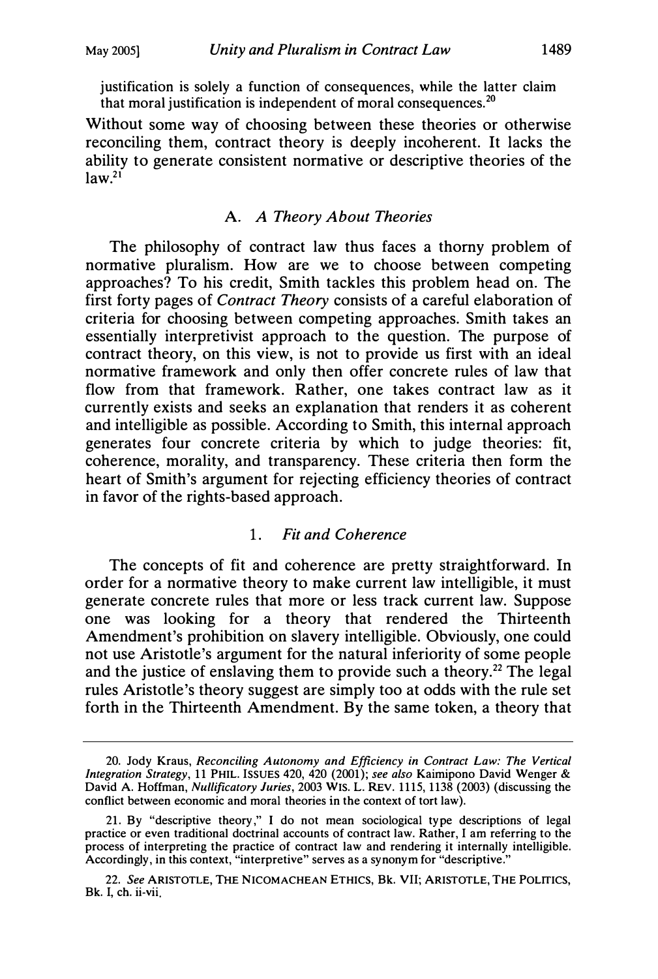justification is solely a function of consequences, while the latter claim that moral justification is independent of moral consequences. 20

Without some way of choosing between these theories or otherwise reconciling them, contract theory is deeply incoherent. It lacks the ability to generate consistent normative or descriptive theories of the  $law<sup>21</sup>$ 

#### A. A Theory About Theories

The philosophy of contract law thus faces a thorny problem of normative pluralism. How are we to choose between competing approaches? To his credit, Smith tackles this problem head on. The first forty pages of Contract Theory consists of a careful elaboration of criteria for choosing between competing approaches. Smith takes an essentially interpretivist approach to the question. The purpose of contract theory, on this view, is not to provide us first with an ideal normative framework and only then offer concrete rules of law that flow from that framework. Rather, one takes contract law as it currently exists and seeks an explanation that renders it as coherent and intelligible as possible. According to Smith, this internal approach generates four concrete criteria by which to judge theories: fit, coherence, morality, and transparency. These criteria then form the heart of Smith's argument for rejecting efficiency theories of contract in favor of the rights-based approach.

#### 1. Fit and Coherence

The concepts of fit and coherence are pretty straightforward. In order for a normative theory to make current law intelligible, it must generate concrete rules that more or less track current law. Suppose one was looking for a theory that rendered the Thirteenth Amendment's prohibition on slavery intelligible. Obviously, one could not use Aristotle's argument for the natural inferiority of some people and the justice of enslaving them to provide such a theory.<sup>22</sup> The legal rules Aristotle's theory suggest are simply too at odds with the rule set forth in the Thirteenth Amendment. By the same token, a theory that

<sup>20.</sup> Jody Kraus, Reconciling Autonomy and Efficiency in Contract Law: The Vertical Integration Strategy, 11 PHIL. ISSUES 420, 420 (2001); see also Kaimipono David Wenger & David A. Hoffman, Nullificatory Juries, 2003 WIS. L. REV. 1115, 1138 (2003) (discussing the conflict between economic and moral theories in the context of tort law).

<sup>21.</sup> By "descriptive theory," I do not mean sociological type descriptions of legal practice or even traditional doctrinal accounts of contract law. Rather, I am referring to the process of interpreting the practice of contract law and rendering it internally intelligible. Accordingly, in this context, "interpretive" serves as a synonym for "descriptive."

<sup>22.</sup> See ARISTOTLE, THE NICOMACHEAN ETHICS, Bk. VII; ARISTOTLE, THE POLITICS, Bk. I, ch. ii-vii.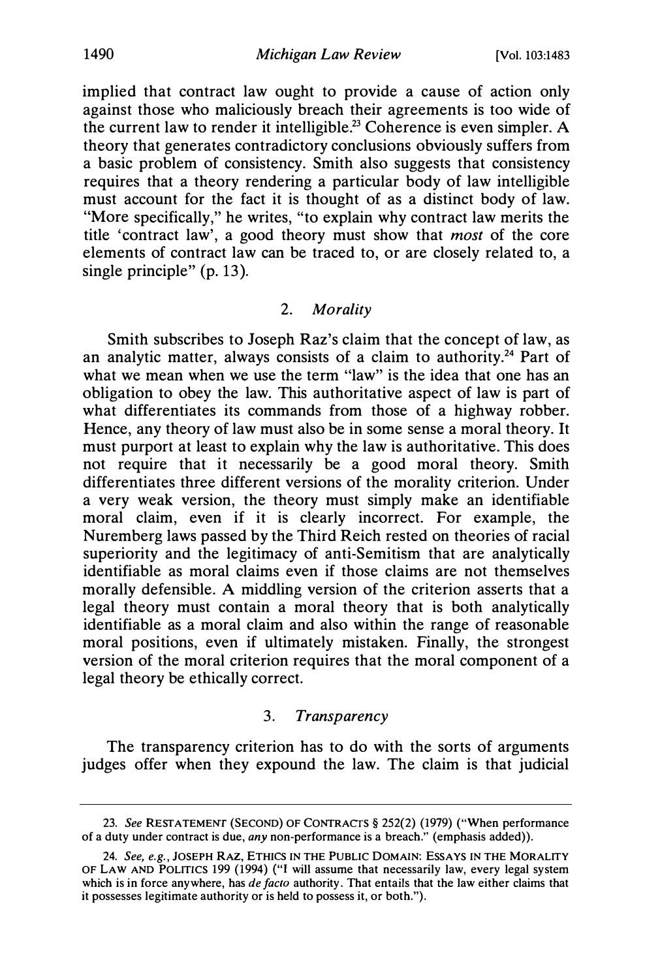implied that contract law ought to provide a cause of action only against those who maliciously breach their agreements is too wide of the current law to render it intelligible.<sup>23</sup> Coherence is even simpler. A theory that generates contradictory conclusions obviously suffers from a basic problem of consistency. Smith also suggests that consistency requires that a theory rendering a particular body of law intelligible must account for the fact it is thought of as a distinct body of law. "More specifically," he writes, "to explain why contract law merits the title 'contract law', a good theory must show that most of the core elements of contract law can be traced to, or are closely related to, a single principle" (p. 13).

#### 2. Morality

Smith subscribes to Joseph Raz's claim that the concept of law, as an analytic matter, always consists of a claim to authority.<sup>24</sup> Part of what we mean when we use the term "law" is the idea that one has an obligation to obey the law. This authoritative aspect of law is part of what differentiates its commands from those of a highway robber. Hence, any theory of law must also be in some sense a moral theory. It must purport at least to explain why the law is authoritative. This does not require that it necessarily be a good moral theory. Smith differentiates three different versions of the morality criterion. Under a very weak version, the theory must simply make an identifiable moral claim, even if it is clearly incorrect. For example, the Nuremberg laws passed by the Third Reich rested on theories of racial superiority and the legitimacy of anti-Semitism that are analytically identifiable as moral claims even if those claims are not themselves morally defensible. A middling version of the criterion asserts that a legal theory must contain a moral theory that is both analytically identifiable as a moral claim and also within the range of reasonable moral positions, even if ultimately mistaken. Finally, the strongest version of the moral criterion requires that the moral component of a legal theory be ethically correct.

#### 3. Transparency

The transparency criterion has to do with the sorts of arguments judges offer when they expound the law. The claim is that judicial

<sup>23.</sup> See RESTATEMENT (SECOND) OF CONTRACTS§ 252(2) (1979) ("When performance of a duty under contract is due, any non-performance is a breach." (emphasis added)).

<sup>24.</sup> See, e.g., JOSEPH RAZ, ETHICS IN THE PUBLIC DOMAIN: ESSAYS IN THE MORALITY OF LAW AND POLITICS 199 (1994) ("I will assume that necessarily law, every legal system which is in force anywhere, has de facto authority. That entails that the law either claims that it possesses legitimate authority or is held to possess it, or both.").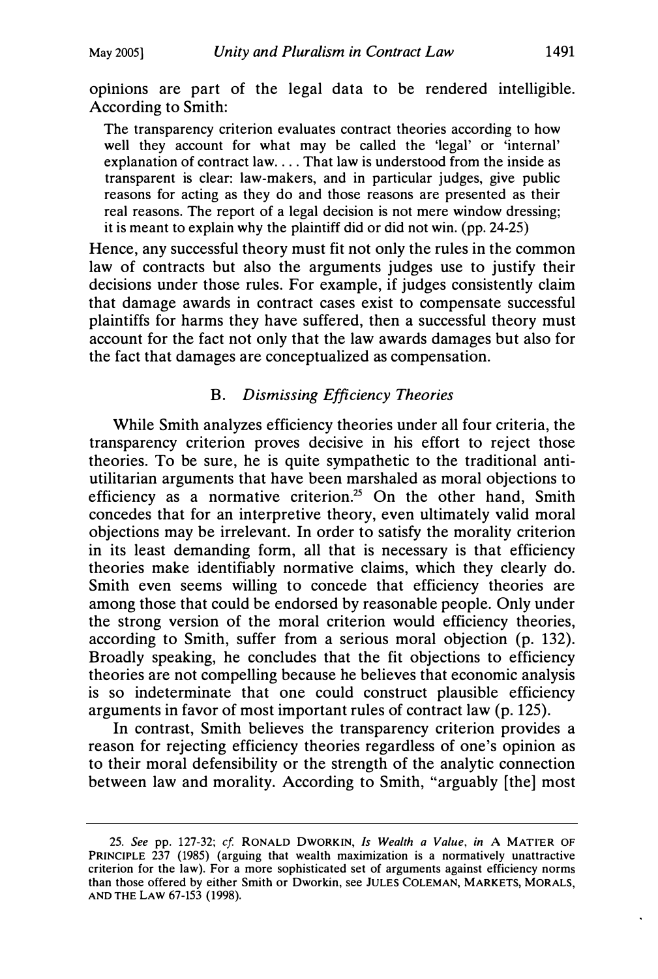opinions are part of the legal data to be rendered intelligible. According to Smith:

The transparency criterion evaluates contract theories according to how well they account for what may be called the 'legal' or 'internal' explanation of contract law.... That law is understood from the inside as transparent is clear: law-makers, and in particular judges, give public reasons for acting as they do and those reasons are presented as their real reasons. The report of a legal decision is not mere window dressing; it is meant to explain why the plaintiff did or did not win. (pp. 24-25)

Hence, any successful theory must fit not only the rules in the common law of contracts but also the arguments judges use to justify their decisions under those rules. For example, if judges consistently claim that damage awards in contract cases exist to compensate successful plaintiffs for harms they have suffered, then a successful theory must account for the fact not only that the law awards damages but also for the fact that damages are conceptualized as compensation.

## B. Dismissing Efficiency Theories

While Smith analyzes efficiency theories under all four criteria, the transparency criterion proves decisive in his effort to reject those theories. To be sure, he is quite sympathetic to the traditional antiutilitarian arguments that have been marshaled as moral objections to efficiency as a normative criterion.<sup>25</sup> On the other hand, Smith concedes that for an interpretive theory, even ultimately valid moral objections may be irrelevant. In order to satisfy the morality criterion in its least demanding form, all that is necessary is that efficiency theories make identifiably normative claims, which they clearly do. Smith even seems willing to concede that efficiency theories are among those that could be endorsed by reasonable people. Only under the strong version of the moral criterion would efficiency theories, according to Smith, suffer from a serious moral objection (p. 132). Broadly speaking, he concludes that the fit objections to efficiency theories are not compelling because he believes that economic analysis is so indeterminate that one could construct plausible efficiency arguments in favor of most important rules of contract law (p. 125).

In contrast, Smith believes the transparency criterion provides a reason for rejecting efficiency theories regardless of one's opinion as to their moral defensibility or the strength of the analytic connection between law and morality. According to Smith, "arguably [the] most

<sup>25.</sup> See pp. 127-32; cf. RONALD DWORKIN, Is Wealth a Value, in A MATIER OF PRINCIPLE 237 (1985) (arguing that wealth maximization is a normatively unattractive criterion for the law). For a more sophisticated set of arguments against efficiency norms than those offered by either Smith or Dworkin, see JULES COLEMAN, MARKETS, MORALS, AND THE LAW 67-153 (1998).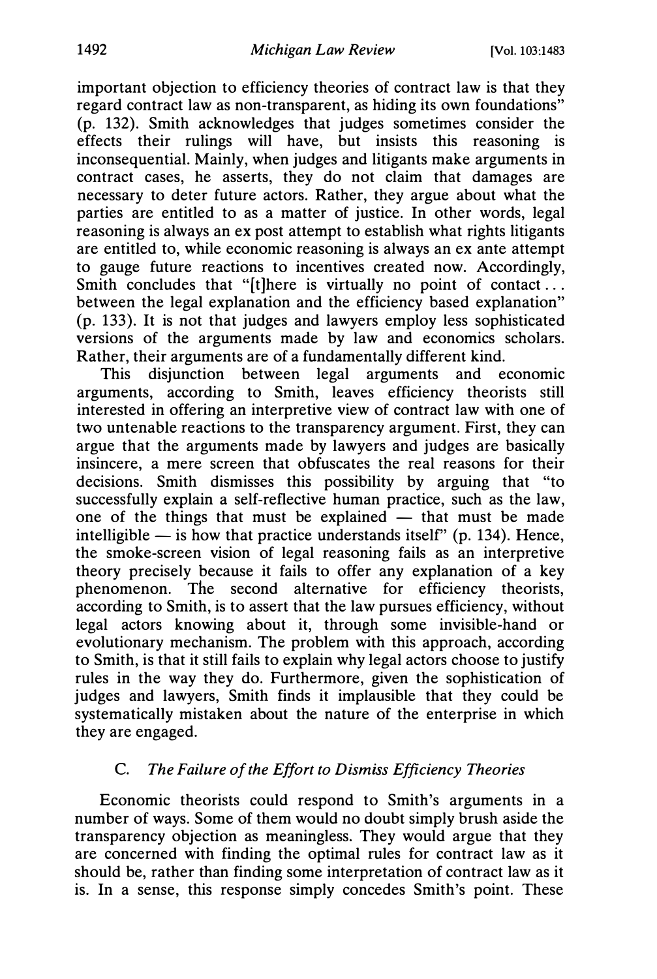important objection to efficiency theories of contract law is that they regard contract law as non-transparent, as hiding its own foundations" (p. 132). Smith acknowledges that judges sometimes consider the effects their rulings will have, but insists this reasoning is inconsequential. Mainly, when judges and litigants make arguments in contract cases, he asserts, they do not claim that damages are necessary to deter future actors. Rather, they argue about what the parties are entitled to as a matter of justice. In other words, legal reasoning is always an ex post attempt to establish what rights litigants are entitled to, while economic reasoning is always an ex ante attempt to gauge future reactions to incentives created now. Accordingly, Smith concludes that "[t]here is virtually no point of contact... between the legal explanation and the efficiency based explanation" (p. 133). It is not that judges and lawyers employ less sophisticated versions of the arguments made by law and economics scholars. Rather, their arguments are of a fundamentally different kind.

This disjunction between legal arguments and economic arguments, according to Smith, leaves efficiency theorists still interested in offering an interpretive view of contract law with one of two untenable reactions to the transparency argument. First, they can argue that the arguments made by lawyers and judges are basically insincere, a mere screen that obfuscates the real reasons for their decisions. Smith dismisses this possibility by arguing that "to successfully explain a self-reflective human practice, such as the law, one of the things that must be explained  $-$  that must be made intelligible  $-$  is how that practice understands itself" (p. 134). Hence, the smoke-screen vision of legal reasoning fails as an interpretive theory precisely because it fails to offer any explanation of a key phenomenon. The second alternative for efficiency theorists, according to Smith, is to assert that the law pursues efficiency, without legal actors knowing about it, through some invisible-hand or evolutionary mechanism. The problem with this approach, according to Smith, is that it still fails to explain why legal actors choose to justify rules in the way they do. Furthermore, given the sophistication of judges and lawyers, Smith finds it implausible that they could be systematically mistaken about the nature of the enterprise in which they are engaged.

## C. The Failure of the Effort to Dismiss Efficiency Theories

Economic theorists could respond to Smith's arguments in a number of ways. Some of them would no doubt simply brush aside the transparency objection as meaningless. They would argue that they are concerned with finding the optimal rules for contract law as it should be, rather than finding some interpretation of contract law as it is. In a sense, this response simply concedes Smith's point. These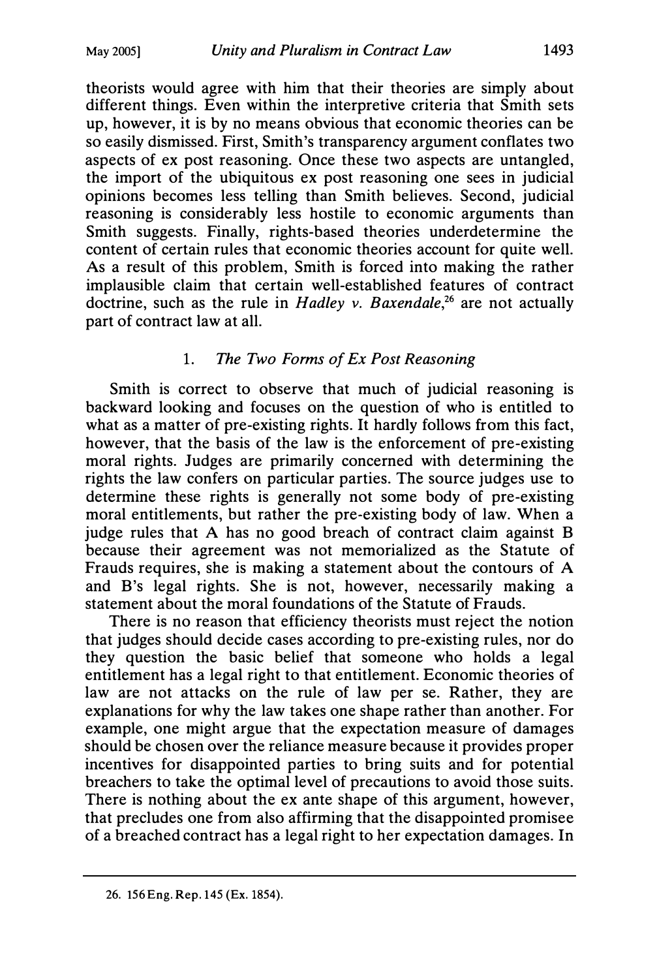theorists would agree with him that their theories are simply about different things. Even within the interpretive criteria that Smith sets up, however, it is by no means obvious that economic theories can be so easily dismissed. First, Smith's transparency argument conflates two aspects of ex post reasoning. Once these two aspects are untangled, the import of the ubiquitous ex post reasoning one sees in judicial opinions becomes less telling than Smith believes. Second, judicial reasoning is considerably less hostile to economic arguments than Smith suggests. Finally, rights-based theories underdetermine the content of certain rules that economic theories account for quite well. As a result of this problem, Smith is forced into making the rather implausible claim that certain well-established features of contract doctrine, such as the rule in Hadley v. Baxendale,<sup>26</sup> are not actually part of contract law at all.

#### 1. The Two Forms of Ex Post Reasoning

Smith is correct to observe that much of judicial reasoning is backward looking and focuses on the question of who is entitled to what as a matter of pre-existing rights. It hardly follows from this fact, however, that the basis of the law is the enforcement of pre-existing moral rights. Judges are primarily concerned with determining the rights the law confers on particular parties. The source judges use to determine these rights is generally not some body of pre-existing moral entitlements, but rather the pre-existing body of law. When a judge rules that A has no good breach of contract claim against B because their agreement was not memorialized as the Statute of Frauds requires, she is making a statement about the contours of A and B's legal rights. She is not, however, necessarily making a statement about the moral foundations of the Statute of Frauds.

There is no reason that efficiency theorists must reject the notion that judges should decide cases according to pre-existing rules, nor do they question the basic belief that someone who holds a legal entitlement has a legal right to that entitlement. Economic theories of law are not attacks on the rule of law per se. Rather, they are explanations for why the law takes one shape rather than another. For example, one might argue that the expectation measure of damages should be chosen over the reliance measure because it provides proper incentives for disappointed parties to bring suits and for potential breachers to take the optimal level of precautions to avoid those suits. There is nothing about the ex ante shape of this argument, however, that precludes one from also affirming that the disappointed promisee of a breached contract has a legal right to her expectation damages. In

<sup>26. 156</sup> Eng. Rep. 145 (Ex. 1854).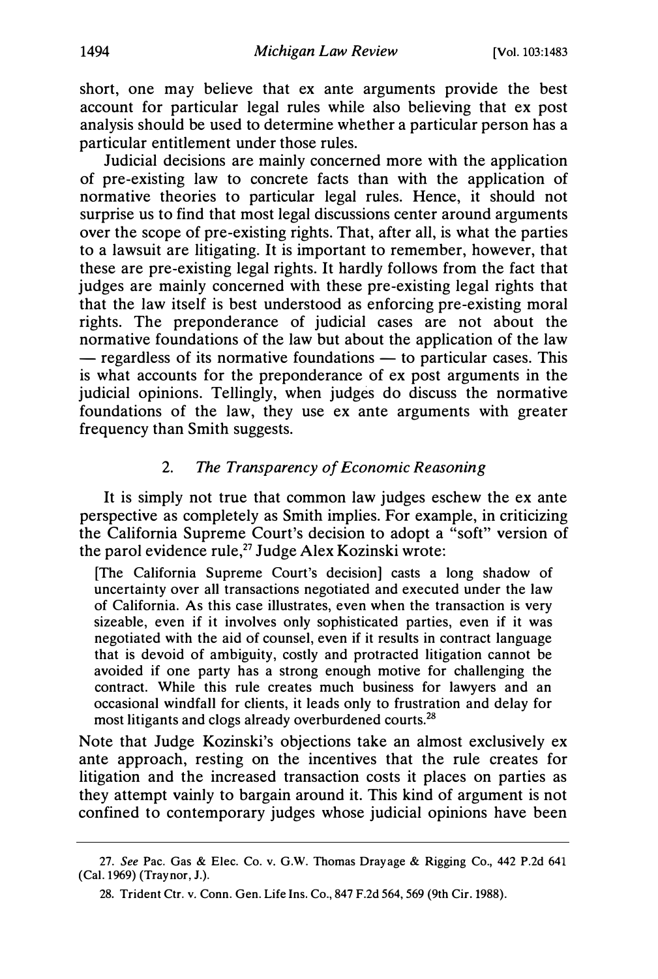short, one may believe that ex ante arguments provide the best account for particular legal rules while also believing that ex post analysis should be used to determine whether a particular person has a particular entitlement under those rules.

Judicial decisions are mainly concerned more with the application of pre-existing law to concrete facts than with the application of normative theories to particular legal rules. Hence, it should not surprise us to find that most legal discussions center around arguments over the scope of pre-existing rights. That, after all, is what the parties to a lawsuit are litigating. It is important to remember, however, that these are pre-existing legal rights. It hardly follows from the fact that judges are mainly concerned with these pre-existing legal rights that that the law itself is best understood as enforcing pre-existing moral rights. The preponderance of judicial cases are not about the normative foundations of the law but about the application of the law  $-$  regardless of its normative foundations  $-$  to particular cases. This is what accounts for the preponderance of ex post arguments in the judicial opinions. Tellingly, when judges do discuss the normative foundations of the law, they use ex ante arguments with greater frequency than Smith suggests.

### 2. The Transparency of Economic Reasoning

It is simply not true that common law judges eschew the ex ante perspective as completely as Smith implies. For example, in criticizing the California Supreme Court's decision to adopt a "soft" version of the parol evidence rule,<sup>27</sup> Judge Alex Kozinski wrote:

[The California Supreme Court's decision] casts a long shadow of uncertainty over all transactions negotiated and executed under the law of California. As this case illustrates, even when the transaction is very sizeable, even if it involves only sophisticated parties, even if it was negotiated with the aid of counsel, even if it results in contract language that is devoid of ambiguity, costly and protracted litigation cannot be avoided if one party has a strong enough motive for challenging the contract. While this rule creates much business for lawyers and an occasional windfall for clients, it leads only to frustration and delay for most litigants and clogs already overburdened courts.<sup>28</sup>

Note that Judge Kozinski's objections take an almost exclusively ex ante approach, resting on the incentives that the rule creates for litigation and the increased transaction costs it places on parties as they attempt vainly to bargain around it. This kind of argument is not confined to contemporary judges whose judicial opinions have been

<sup>27.</sup> See Pac. Gas & Elec. Co. v. G.W. Thomas Drayage & Rigging Co., 442 P.2d 641 (Cal. 1969) (Traynor, J.).

<sup>28.</sup> Trident Ctr. v. Conn. Gen. Life Ins. Co., 847 F.2d 564, 569 (9th Cir. 1988).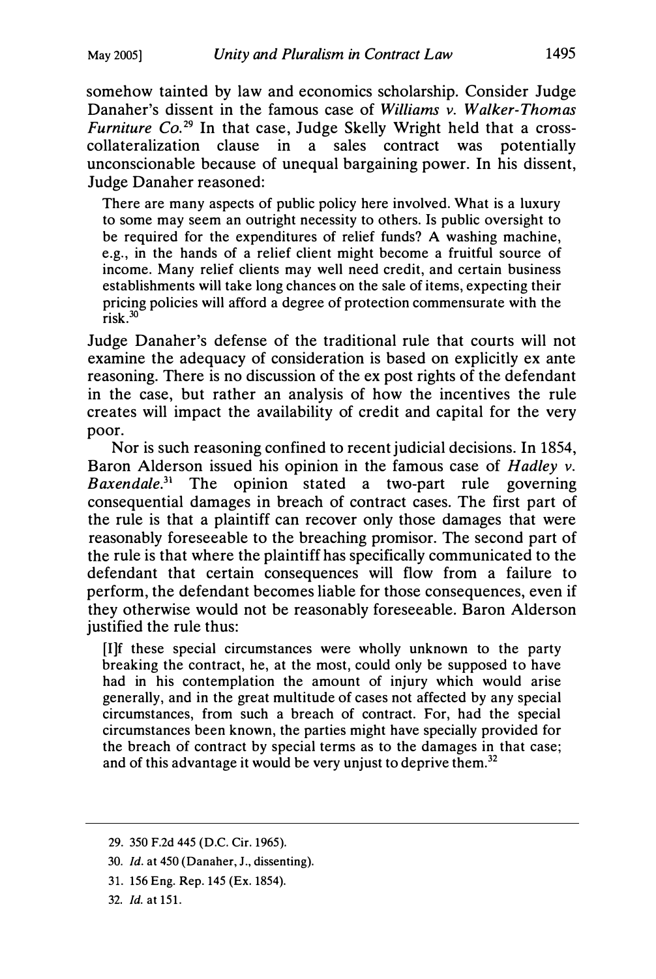somehow tainted by law and economics scholarship. Consider Judge Danaher's dissent in the famous case of Williams v. Walker-Thomas Furniture  $Co$ <sup>29</sup> In that case, Judge Skelly Wright held that a crosscollateralization clause in a sales contract was potentially unconscionable because of unequal bargaining power. In his dissent, Judge Danaher reasoned:

There are many aspects of public policy here involved. What is a luxury to some may seem an outright necessity to others. Is public oversight to be required for the expenditures of relief funds? A washing machine, e.g., in the hands of a relief client might become a fruitful source of income. Many relief clients may well need credit, and certain business establishments will take long chances on the sale of items, expecting their pricing policies will afford a degree of protection commensurate with the  $risk$ .  $30$ 

Judge Danaher's defense of the traditional rule that courts will not examine the adequacy of consideration is based on explicitly ex ante reasoning. There is no discussion of the ex post rights of the defendant in the case, but rather an analysis of how the incentives the rule creates will impact the availability of credit and capital for the very poor.

Nor is such reasoning confined to recent judicial decisions. In 1854, Baron Alderson issued his opinion in the famous case of Hadley v. Baxendale.<sup>31</sup> The opinion stated a two-part rule governing consequential damages in breach of contract cases. The first part of the rule is that a plaintiff can recover only those damages that were reasonably foreseeable to the breaching promisor. The second part of the rule is that where the plaintiff has specifically communicated to the defendant that certain consequences will flow from a failure to perform, the defendant becomes liable for those consequences, even if they otherwise would not be reasonably foreseeable. Baron Alderson justified the rule thus:

[I]f these special circumstances were wholly unknown to the party breaking the contract, he, at the most, could only be supposed to have had in his contemplation the amount of injury which would arise generally, and in the great multitude of cases not affected by any special circumstances, from such a breach of contract. For, had the special circumstances been known, the parties might have specially provided for the breach of contract by special terms as to the damages in that case; and of this advantage it would be very unjust to deprive them.<sup>32</sup>

31. 156 Eng. Rep. 145 (Ex. 1854).

32. Id. at 151.

<sup>29. 350</sup> F.2d 445 (D.C. Cir. 1965).

<sup>30.</sup> Id. at 450 (Danaher, J., dissenting).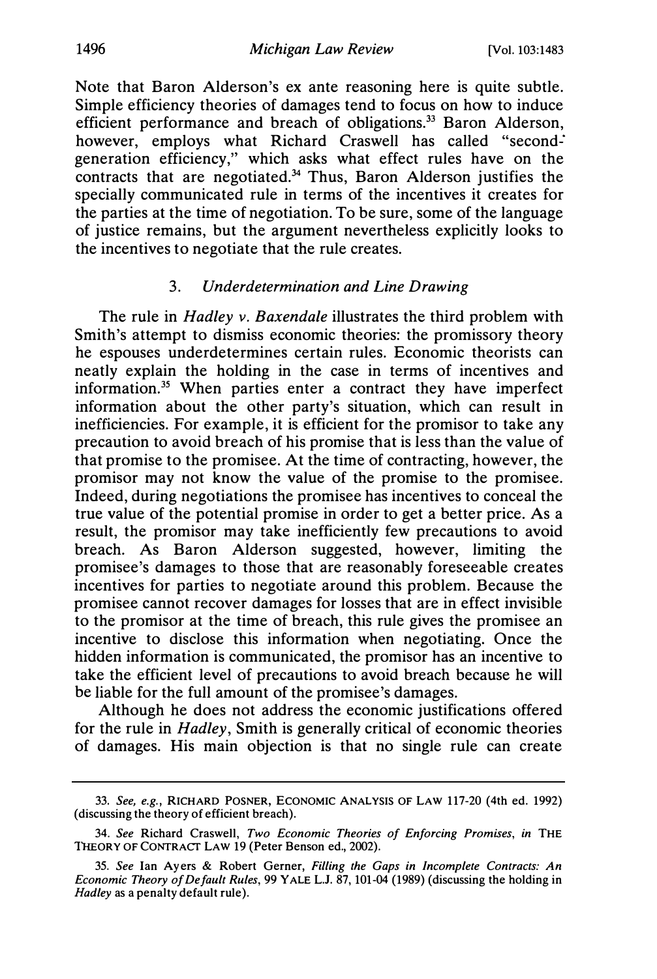Note that Baron Alderson's ex ante reasoning here is quite subtle. Simple efficiency theories of damages tend to focus on how to induce efficient performance and breach of obligations.<sup>33</sup> Baron Alderson, however, employs what Richard Craswell has called "secondgeneration efficiency," which asks what effect rules have on the contracts that are negotiated.<sup>34</sup> Thus, Baron Alderson justifies the specially communicated rule in terms of the incentives it creates for the parties at the time of negotiation. To be sure, some of the language of justice remains, but the argument nevertheless explicitly looks to the incentives to negotiate that the rule creates.

#### 3. Underdetermination and Line Drawing

The rule in *Hadley v. Baxendale* illustrates the third problem with Smith's attempt to dismiss economic theories: the promissory theory he espouses underdetermines certain rules. Economic theorists can neatly explain the holding in the case in terms of incentives and information.<sup>35</sup> When parties enter a contract they have imperfect information about the other party's situation, which can result in inefficiencies. For example, it is efficient for the promisor to take any precaution to avoid breach of his promise that is less than the value of that promise to the promisee. At the time of contracting, however, the promisor may not know the value of the promise to the promisee. Indeed, during negotiations the promisee has incentives to conceal the true value of the potential promise in order to get a better price. As a result, the promisor may take inefficiently few precautions to avoid breach. As Baron Alderson suggested, however, limiting the promisee's damages to those that are reasonably foreseeable creates incentives for parties to negotiate around this problem. Because the promisee cannot recover damages for losses that are in effect invisible to the promisor at the time of breach, this rule gives the promisee an incentive to disclose this information when negotiating. Once the hidden information is communicated, the promisor has an incentive to take the efficient level of precautions to avoid breach because he will be liable for the full amount of the promisee's damages.

Although he does not address the economic justifications offered for the rule in Hadley, Smith is generally critical of economic theories of damages. His main objection is that no single rule can create

<sup>33.</sup> See, e.g., RICHARD POSNER, ECONOMIC ANALYSIS OF LAW 117-20 (4th ed. 1992) (discussing the theory of efficient breach).

<sup>34.</sup> See Richard Craswell, Two Economic Theories of Enforcing Promises, in THE THEORY OF CONTRACT LAW 19 (Peter Benson ed., 2002).

<sup>35.</sup> See Ian Ayers & Robert Gerner, Filling the Gaps in Incomplete Contracts: An Economic Theory of Default Rules, 99 YALE L.J. 87, 101-04 (1989) (discussing the holding in Hadley as a penalty default rule).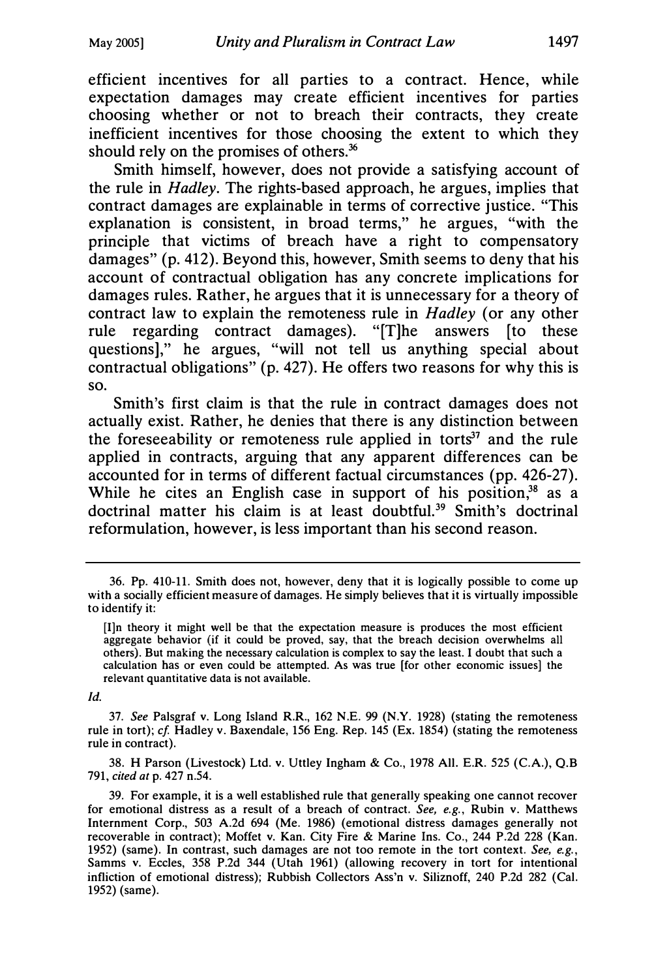efficient incentives for all parties to a contract. Hence, while expectation damages may create efficient incentives for parties choosing whether or not to breach their contracts, they create inefficient incentives for those choosing the extent to which they should rely on the promises of others.<sup>36</sup>

Smith himself, however, does not provide a satisfying account of the rule in Hadley. The rights-based approach, he argues, implies that contract damages are explainable in terms of corrective justice. "This explanation is consistent, in broad terms," he argues, "with the principle that victims of breach have a right to compensatory damages" (p. 412). Beyond this, however, Smith seems to deny that his account of contractual obligation has any concrete implications for damages rules. Rather, he argues that it is unnecessary for a theory of contract law to explain the remoteness rule in Hadley (or any other rule regarding contract damages). "[T]he answers [to these questions]," he argues, "will not tell us anything special about contractual obligations" (p. 427). He offers two reasons for why this is so.

Smith's first claim is that the rule in contract damages does not actually exist. Rather, he denies that there is any distinction between the foreseeability or remoteness rule applied in torts $37$  and the rule applied in contracts, arguing that any apparent differences can be accounted for in terms of different factual circumstances (pp. 426-27). While he cites an English case in support of his position, $38$  as a doctrinal matter his claim is at least doubtful.<sup>39</sup> Smith's doctrinal reformulation, however, is less important than his second reason.

Id.

37. See Palsgraf v. Long Island R.R., 162 N.E. 99 (N.Y. 1928) (stating the remoteness rule in tort); cf. Hadley v. Baxendale, 156 Eng. Rep. 145 (Ex. 1854) (stating the remoteness rule in contract).

38. H Parson (Livestock) Ltd. v. Uttley Ingham & Co., 1978 All. E.R. 525 (C.A.), Q.B 791, cited at p. 427 n.54.

<sup>36.</sup> Pp. 410-11. Smith does not, however, deny that it is logically possible to come up with a socially efficient measure of damages. He simply believes that it is virtually impossible to identify it:

<sup>[</sup>I)n theory it might well be that the expectation measure is produces the most efficient aggregate behavior (if it could be proved, say, that the breach decision overwhelms all others). But making the necessary calculation is complex to say the least. I doubt that such a calculation has or even could be attempted. As was true [for other economic issues) the relevant quantitative data is not available.

<sup>39.</sup> For example, it is a well established rule that generally speaking one cannot recover for emotional distress as a result of a breach of contract. See, e.g., Rubin v. Matthews Internment Corp., 503 A.2d 694 (Me. 1986) (emotional distress damages generally not recoverable in contract); Moffet v. Kan. City Fire & Marine Ins. Co., 244 P.2d 228 (Kan. 1952) (same). In contrast, such damages are not too remote in the tort context. See, e.g., Samms v. Eccles, 358 P.2d 344 (Utah 1961) (allowing recovery in tort for intentional infliction of emotional distress); Rubbish Collectors Ass'n v. Siliznoff, 240 P.2d 282 (Cal. 1952) (same).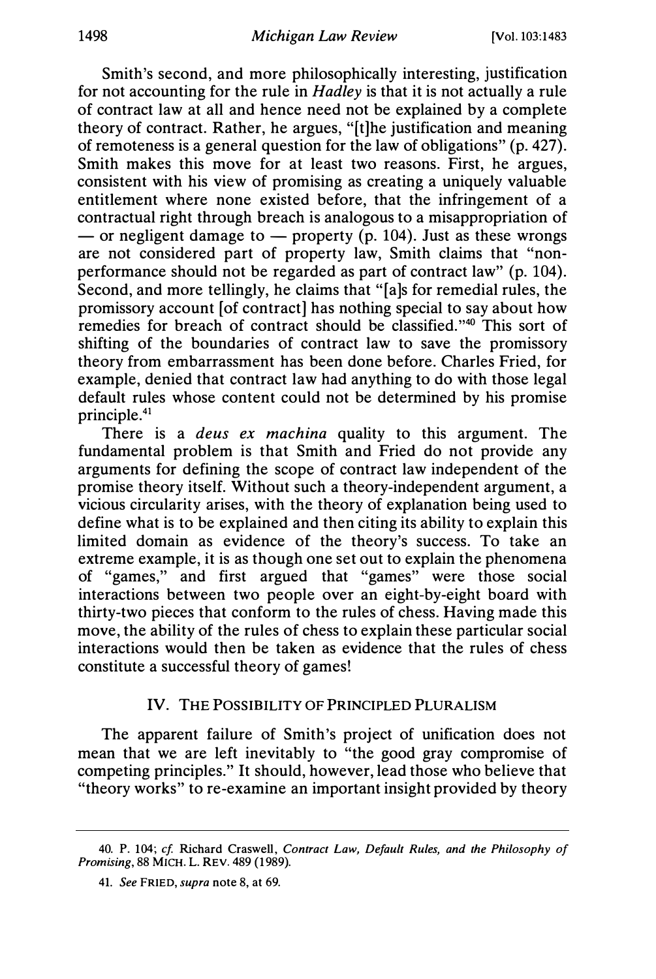Smith's second, and more philosophically interesting, justification for not accounting for the rule in Hadley is that it is not actually a rule of contract law at all and hence need not be explained by a complete theory of contract. Rather, he argues, "[t]he justification and meaning of remoteness is a general question for the law of obligations" (p. 427). Smith makes this move for at least two reasons. First, he argues, consistent with his view of promising as creating a uniquely valuable entitlement where none existed before, that the infringement of a contractual right through breach is analogous to a misappropriation of  $-$  or negligent damage to  $-$  property (p. 104). Just as these wrongs are not considered part of property law, Smith claims that "nonperformance should not be regarded as part of contract law" (p. 104). Second, and more tellingly, he claims that "[a]s for remedial rules, the promissory account [of contract] has nothing special to say about how remedies for breach of contract should be classified. "40 This sort of shifting of the boundaries of contract law to save the promissory theory from embarrassment has been done before. Charles Fried, for example, denied that contract law had anything to do with those legal default rules whose content could not be determined by his promise principle. 41

There is a *deus ex machina* quality to this argument. The fundamental problem is that Smith and Fried do not provide any arguments for defining the scope of contract law independent of the promise theory itself. Without such a theory-independent argument, a vicious circularity arises, with the theory of explanation being used to define what is to be explained and then citing its ability to explain this limited domain as evidence of the theory's success. To take an extreme example, it is as though one set out to explain the phenomena of "games," and first argued that "games" were those social interactions between two people over an eight-by-eight board with thirty-two pieces that conform to the rules of chess. Having made this move, the ability of the rules of chess to explain these particular social interactions would then be taken as evidence that the rules of chess constitute a successful theory of games!

#### IV. THE POSSIBILITY OF PRINCIPLED PLURALISM

The apparent failure of Smith's project of unification does not mean that we are left inevitably to "the good gray compromise of competing principles." It should, however, lead those who believe that "theory works" to re-examine an important insight provided by theory

<sup>40.</sup> P. 104; cf. Richard Craswell, Contract Law, Default Rules, and the Philosophy of Promising, 88 MICH. L. REV. 489 (1989).

<sup>41.</sup> See FRIED, supra note 8, at 69.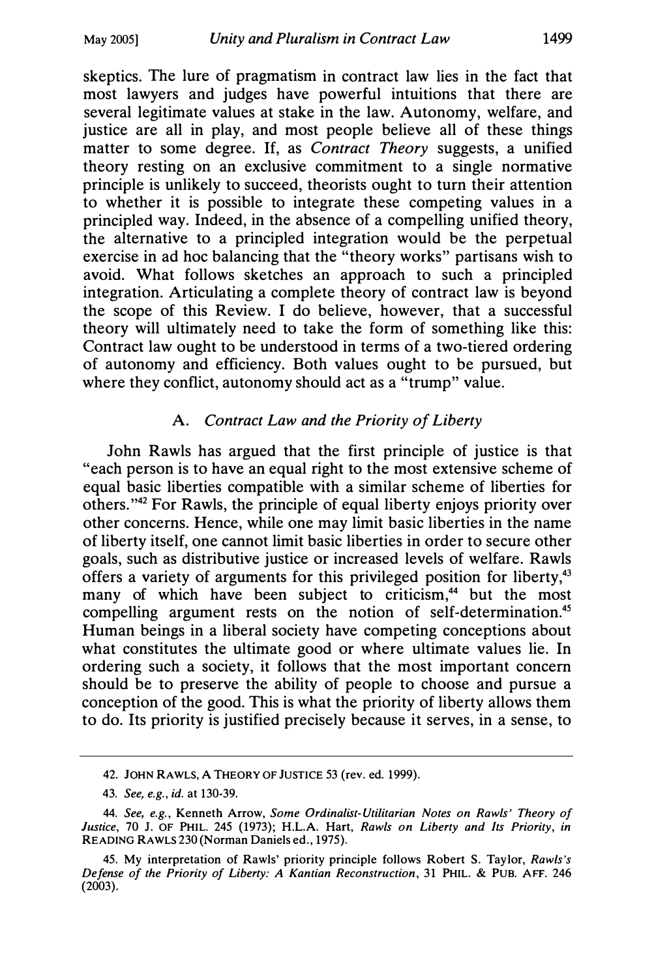skeptics. The lure of pragmatism in contract law lies in the fact that most lawyers and judges have powerful intuitions that there are several legitimate values at stake in the law. Autonomy, welfare, and justice are all in play, and most people believe all of these things matter to some degree. If, as Contract Theory suggests, a unified theory resting on an exclusive commitment to a single normative principle is unlikely to succeed, theorists ought to turn their attention to whether it is possible to integrate these competing values in a principled way. Indeed, in the absence of a compelling unified theory, the alternative to a principled integration would be the perpetual exercise in ad hoc balancing that the "theory works" partisans wish to avoid. What follows sketches an approach to such a principled integration. Articulating a complete theory of contract law is beyond the scope of this Review. I do believe, however, that a successful theory will ultimately need to take the form of something like this: Contract law ought to be understood in terms of a two-tiered ordering of autonomy and efficiency. Both values ought to be pursued, but where they conflict, autonomy should act as a "trump" value.

#### A. Contract Law and the Priority of Liberty

John Rawls has argued that the first principle of justice is that "each person is to have an equal right to the most extensive scheme of equal basic liberties compatible with a similar scheme of liberties for others."<sup>42</sup> For Rawls, the principle of equal liberty enjoys priority over other concerns. Hence, while one may limit basic liberties in the name of liberty itself, one cannot limit basic liberties in order to secure other goals, such as distributive justice or increased levels of welfare. Rawls offers a variety of arguments for this privileged position for liberty, 43 many of which have been subject to criticism,<sup>44</sup> but the most compelling argument rests on the notion of self-determination.<sup>45</sup> Human beings in a liberal society have competing conceptions about what constitutes the ultimate good or where ultimate values lie. In ordering such a society, it follows that the most important concern should be to preserve the ability of people to choose and pursue a conception of the good. This is what the priority of liberty allows them to do. Its priority is justified precisely because it serves, in a sense, to

<sup>42.</sup> JOHN RAWLS, A THEORY OF JUSTICE 53 (rev. ed. 1999).

<sup>43.</sup> See, e.g., id. at 130-39.

<sup>44.</sup> See, e.g., Kenneth Arrow, Some Ordinalist-Utilitarian Notes on Rawls' Theory of Justice, 70 J. OF PHIL. 245 (1973); H.L.A. Hart, Rawls on Liberty and Its Priority, in READING RAWLS 230 (Norman Daniels ed., 1975).

<sup>45.</sup> My interpretation of Rawls' priority principle follows Robert S. Taylor, Raw/s's Defense of the Priority of Liberty: A Kantian Reconstruction, 31 PHIL. & PUB. AFF. 246  $(2003).$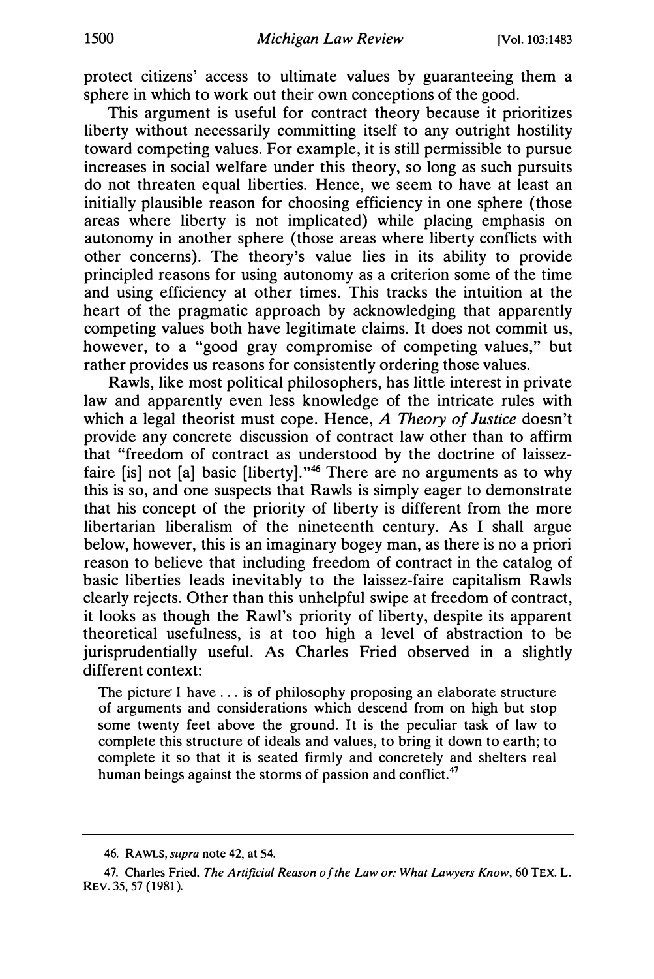protect citizens' access to ultimate values by guaranteeing them a sphere in which to work out their own conceptions of the good.

This argument is useful for contract theory because it prioritizes liberty without necessarily committing itself to any outright hostility toward competing values. For example, it is still permissible to pursue increases in social welfare under this theory, so long as such pursuits do not threaten equal liberties. Hence, we seem to have at least an initially plausible reason for choosing efficiency in one sphere (those areas where liberty is not implicated) while placing emphasis on autonomy in another sphere (those areas where liberty conflicts with other concerns). The theory's value lies in its ability to provide principled reasons for using autonomy as a criterion some of the time and using efficiency at other times. This tracks the intuition at the heart of the pragmatic approach by acknowledging that apparently competing values both have legitimate claims. It does not commit us, however, to a "good gray compromise of competing values," but rather provides us reasons for consistently ordering those values.

Rawls, like most political philosophers, has little interest in private law and apparently even less knowledge of the intricate rules with which a legal theorist must cope. Hence, A Theory of Justice doesn't provide any concrete discussion of contract law other than to affirm that "freedom of contract as understood by the doctrine of laissezfaire [is] not [a] basic [liberty]."<sup>46</sup> There are no arguments as to why this is so, and one suspects that Rawls is simply eager to demonstrate that his concept of the priority of liberty is different from the more libertarian liberalism of the nineteenth century. As I shall argue below, however, this is an imaginary bogey man, as there is no a priori reason to believe that including freedom of contract in the catalog of basic liberties leads inevitably to the laissez-faire capitalism Rawls clearly rejects. Other than this unhelpful swipe at freedom of contract, it looks as though the Rawl's priority of liberty, despite its apparent theoretical usefulness, is at too high a level of abstraction to be jurisprudentially useful. As Charles Fried observed in a slightly different context:

The picture I have  $\dots$  is of philosophy proposing an elaborate structure of arguments and considerations which descend from on high but stop some twenty feet above the ground. It is the peculiar task of law to complete this structure of ideals and values, to bring it down to earth; to complete it so that it is seated firmly and concretely and shelters real human beings against the storms of passion and conflict.<sup>47</sup>

<sup>46.</sup> RAWLS, supra note 42, at 54.

<sup>47.</sup> Charles Fried, The Artificial Reason of the Law or: What Lawyers Know, 60 TEX. L. REV. 35, 57 (1981).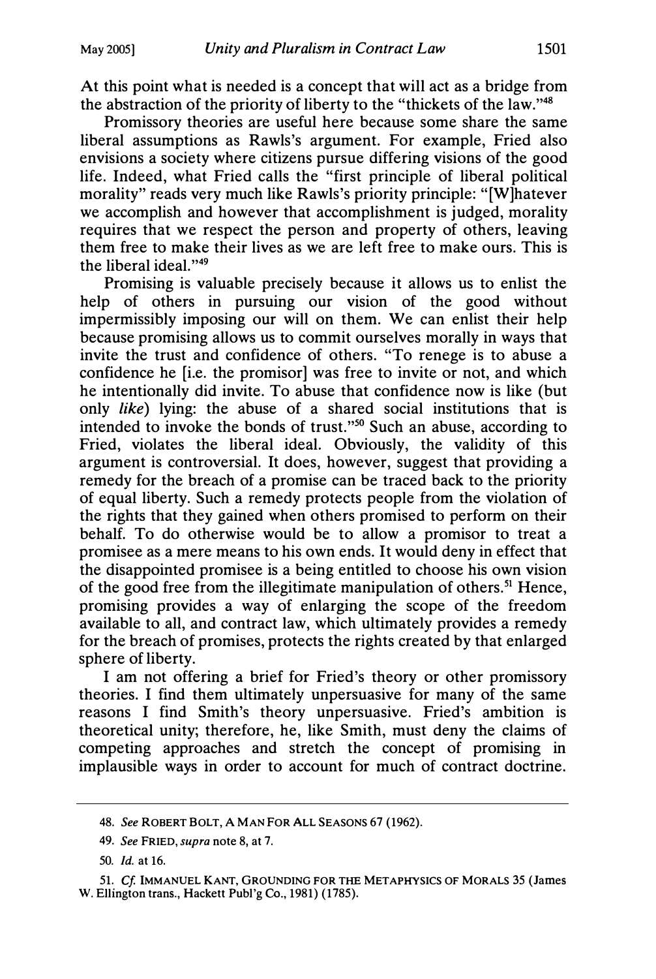At this point what is needed is a concept that will act as a bridge from the abstraction of the priority of liberty to the "thickets of the law."<sup>48</sup>

Promissory theories are useful here because some share the same liberal assumptions as Rawls's argument. For example, Fried also envisions a society where citizens pursue differing visions of the good life. Indeed, what Fried calls the "first principle of liberal political morality" reads very much like Rawls's priority principle: "[W]hatever we accomplish and however that accomplishment is judged, morality requires that we respect the person and property of others, leaving them free to make their lives as we are left free to make ours. This is the liberal ideal."<sup>49</sup>

Promising is valuable precisely because it allows us to enlist the help of others in pursuing our vision of the good without impermissibly imposing our will on them. We can enlist their help because promising allows us to commit ourselves morally in ways that invite the trust and confidence of others. "To renege is to abuse a confidence he [i.e. the promisor] was free to invite or not, and which he intentionally did invite. To abuse that confidence now is like (but only *like*) lying: the abuse of a shared social institutions that is intended to invoke the bonds of trust."50 Such an abuse, according to Fried, violates the liberal ideal. Obviously, the validity of this argument is controversial. It does, however, suggest that providing a remedy for the breach of a promise can be traced back to the priority of equal liberty. Such a remedy protects people from the violation of the rights that they gained when others promised to perform on their behalf. To do otherwise would be to allow a promisor to treat a promisee as a mere means to his own ends. It would deny in effect that the disappointed promisee is a being entitled to choose his own vision of the good free from the illegitimate manipulation of others. 51 Hence, promising provides a way of enlarging the scope of the freedom available to all, and contract law, which ultimately provides a remedy for the breach of promises, protects the rights created by that enlarged sphere of liberty.

I am not offering a brief for Fried's theory or other promissory theories. I find them ultimately unpersuasive for many of the same reasons I find Smith's theory unpersuasive. Fried's ambition is theoretical unity; therefore, he, like Smith, must deny the claims of competing approaches and stretch the concept of promising in implausible ways in order to account for much of contract doctrine.

<sup>48.</sup> See ROBERT BOLT, A MAN FOR ALL SEASONS 67 (1962).

<sup>49.</sup> See FRIED, supra note 8, at 7.

<sup>50.</sup> Id. at 16.

<sup>51.</sup> Cf. IMMANUEL KANT, GROUNDING FOR THE METAPHYSICS OF MORALS 35 (James W. Ellington trans., Hackett Publ'g Co., 1981) (1785).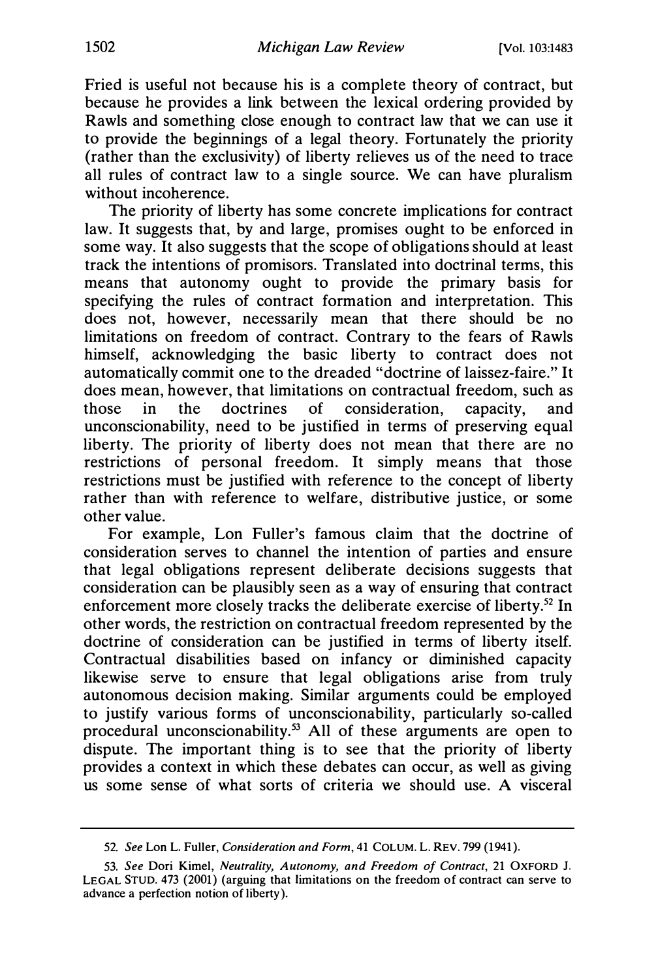Fried is useful not because his is a complete theory of contract, but because he provides a link between the lexical ordering provided by Rawls and something close enough to contract law that we can use it to provide the beginnings of a legal theory. Fortunately the priority (rather than the exclusivity) of liberty relieves us of the need to trace all rules of contract law to a single source. We can have pluralism without incoherence.

The priority of liberty has some concrete implications for contract law. It suggests that, by and large, promises ought to be enforced in some way. It also suggests that the scope of obligations should at least track the intentions of promisors. Translated into doctrinal terms, this means that autonomy ought to provide the primary basis for specifying the rules of contract formation and interpretation. This does not, however, necessarily mean that there should be no limitations on freedom of contract. Contrary to the fears of Rawls himself. acknowledging the basic liberty to contract does not automatically commit one to the dreaded "doctrine of laissez-faire." It does mean, however, that limitations on contractual freedom, such as those in the doctrines of consideration, capacity, and unconscionability, need to be justified in terms of preserving equal liberty. The priority of liberty does not mean that there are no restrictions of personal freedom. It simply means that those restrictions must be justified with reference to the concept of liberty rather than with reference to welfare, distributive justice, or some other value.

For example, Lon Fuller's famous claim that the doctrine of consideration serves to channel the intention of parties and ensure that legal obligations represent deliberate decisions suggests that consideration can be plausibly seen as a way of ensuring that contract enforcement more closely tracks the deliberate exercise of liberty.<sup>52</sup> In other words, the restriction on contractual freedom represented by the doctrine of consideration can be justified in terms of liberty itself. Contractual disabilities based on infancy or diminished capacity likewise serve to ensure that legal obligations arise from truly autonomous decision making. Similar arguments could be employed to justify various forms of unconscionability, particularly so-called procedural unconscionability.53 All of these arguments are open to dispute. The important thing is to see that the priority of liberty provides a context in which these debates can occur, as well as giving us some sense of what sorts of criteria we should use. A visceral

<sup>52.</sup> See Lon L. Fuller, Consideration and Form, 41 COLUM. L. REV. 799 (1941).

<sup>53.</sup> See Dori Kimel, Neutrality, Autonomy, and Freedom of Contract, 21 OXFORD J. LEGAL STUD. 473 (2001) (arguing that limitations on the freedom of contract can serve to advance a perfection notion of liberty).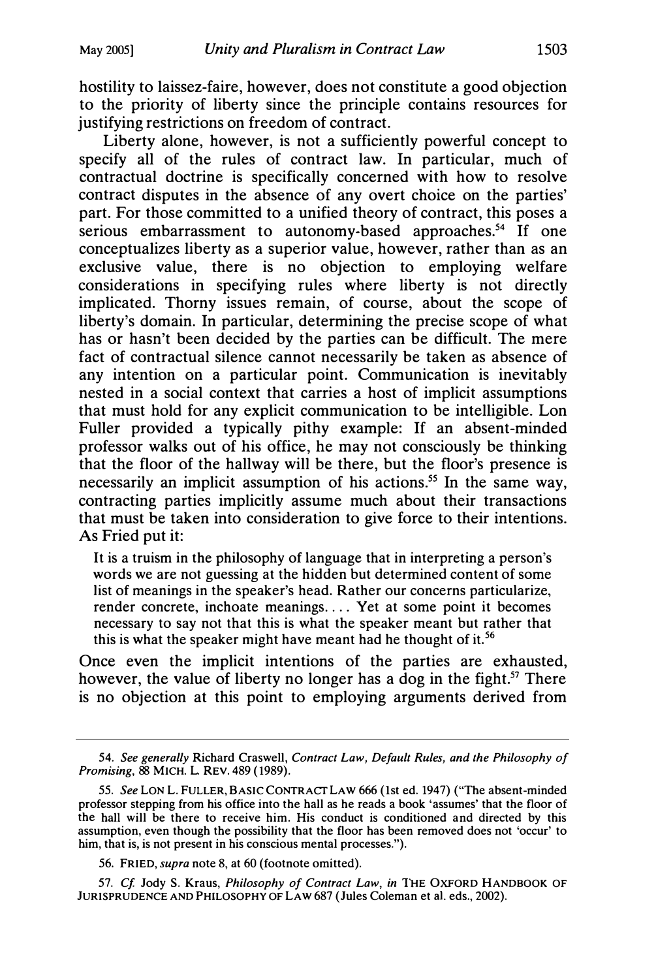hostility to laissez-faire, however, does not constitute a good objection to the priority of liberty since the principle contains resources for justifying restrictions on freedom of contract.

Liberty alone, however, is not a sufficiently powerful concept to specify all of the rules of contract law. In particular, much of contractual doctrine is specifically concerned with how to resolve contract disputes in the absence of any overt choice on the parties' part. For those committed to a unified theory of contract, this poses a serious embarrassment to autonomy-based approaches.<sup>54</sup> If one conceptualizes liberty as a superior value, however, rather than as an exclusive value, there is no objection to employing welfare considerations in specifying rules where liberty is not directly implicated. Thorny issues remain, of course, about the scope of liberty's domain. In particular, determining the precise scope of what has or hasn't been decided by the parties can be difficult. The mere fact of contractual silence cannot necessarily be taken as absence of any intention on a particular point. Communication is inevitably nested in a social context that carries a host of implicit assumptions that must hold for any explicit communication to be intelligible. Lon Fuller provided a typically pithy example: If an absent-minded professor walks out of his office, he may not consciously be thinking that the floor of the hallway will be there, but the floor's presence is necessarily an implicit assumption of his actions.<sup>55</sup> In the same way, contracting parties implicitly assume much about their transactions that must be taken into consideration to give force to their intentions. As Fried put it:

It is a truism in the philosophy of language that in interpreting a person's words we are not guessing at the hidden but determined content of some list of meanings in the speaker's head. Rather our concerns particularize, render concrete, inchoate meanings.... Yet at some point it becomes necessary to say not that this is what the speaker meant but rather that this is what the speaker might have meant had he thought of it.<sup>56</sup>

Once even the implicit intentions of the parties are exhausted, however, the value of liberty no longer has a dog in the fight.<sup>57</sup> There is no objection at this point to employing arguments derived from

56. FRIED, supra note 8, at 60 (footnote omitted).

57. Cf. Jody S. Kraus, Philosophy of Contract Law, in THE OXFORD HANDBOOK OF JURISPRUDENCE AND PHILOSOPHY OF LAW 687 (Jules Coleman et al. eds., 2002).

<sup>54.</sup> See generally Richard Craswell, Contract Law, Default Rules, and the Philosophy of Promising, 88 MICH. L. REV. 489 (1989).

<sup>55.</sup> See LON L. FULLER, BASIC CONTRACT LAW 666 (1st ed. 1947) ("The absent-minded professor stepping from his office into the hall as he reads a book 'assumes' that the floor of the hall will be there to receive him. His conduct is conditioned and directed by this assumption, even though the possibility that the floor has been removed does not 'occur' to him, that is, is not present in his conscious mental processes.").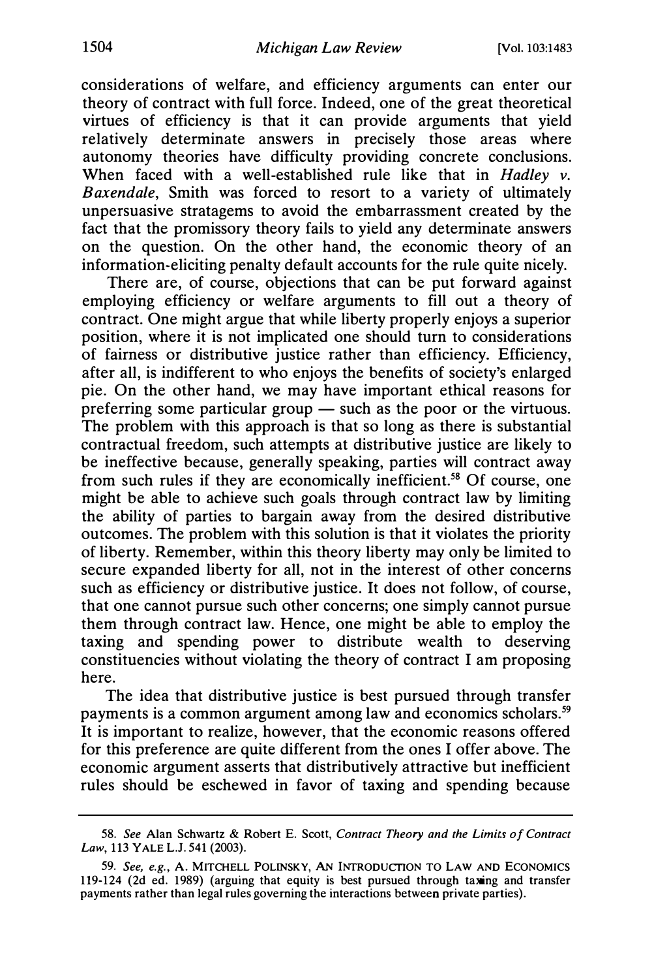considerations of welfare, and efficiency arguments can enter our theory of contract with full force. Indeed, one of the great theoretical virtues of efficiency is that it can provide arguments that yield relatively determinate answers in precisely those areas where autonomy theories have difficulty providing concrete conclusions. When faced with a well-established rule like that in Hadley  $\nu$ . Baxendale, Smith was forced to resort to a variety of ultimately unpersuasive stratagems to avoid the embarrassment created by the fact that the promissory theory fails to yield any determinate answers on the question. On the other hand, the economic theory of an information-eliciting penalty default accounts for the rule quite nicely.

There are, of course, objections that can be put forward against employing efficiency or welfare arguments to fill out a theory of contract. One might argue that while liberty properly enjoys a superior position, where it is not implicated one should turn to considerations of fairness or distributive justice rather than efficiency. Efficiency, after all, is indifferent to who enjoys the benefits of society's enlarged pie. On the other hand, we may have important ethical reasons for preferring some particular group  $\overline{\phantom{a}}$  such as the poor or the virtuous. The problem with this approach is that so long as there is substantial contractual freedom, such attempts at distributive justice are likely to be ineffective because, generally speaking, parties will contract away from such rules if they are economically inefficient.<sup>58</sup> Of course, one might be able to achieve such goals through contract law by limiting the ability of parties to bargain away from the desired distributive outcomes. The problem with this solution is that it violates the priority of liberty. Remember, within this theory liberty may only be limited to secure expanded liberty for all, not in the interest of other concerns such as efficiency or distributive justice. It does not follow, of course, that one cannot pursue such other concerns; one simply cannot pursue them through contract law. Hence, one might be able to employ the taxing and spending power to distribute wealth to deserving constituencies without violating the theory of contract I am proposing here.

The idea that distributive justice is best pursued through transfer payments is a common argument among law and economics scholars. 59 It is important to realize, however, that the economic reasons offered for this preference are quite different from the ones I offer above. The economic argument asserts that distributively attractive but inefficient rules should be eschewed in favor of taxing and spending because

<sup>58.</sup> See Alan Schwartz & Robert E. Scott, Contract Theory and the Limits of Contract Law, 113 YALE L.J. 541 (2003).

<sup>59.</sup> See, e.g., A. MITCHELL POLINSKY, AN INTRODUCTION TO LAW AND ECONOMICS 119-124 (2d ed. 1989) (arguing that equity is best pursued through taxing and transfer payments rather than legal rules governing the interactions between private parties).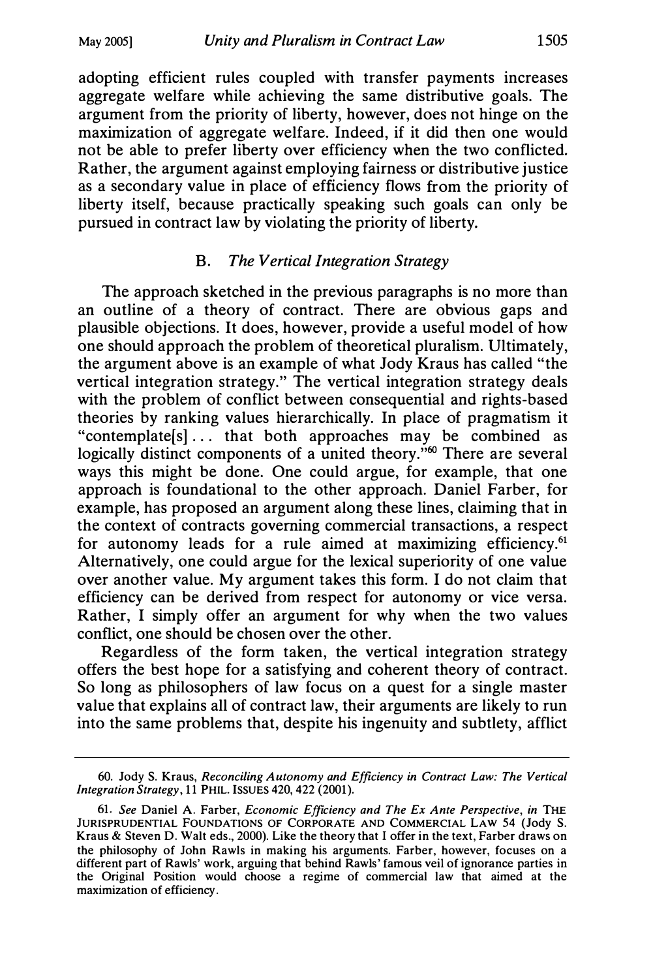adopting efficient rules coupled with transfer payments increases aggregate welfare while achieving the same distributive goals. The argument from the priority of liberty, however, does not hinge on the maximization of aggregate welfare. Indeed, if it did then one would not be able to prefer liberty over efficiency when the two conflicted. Rather, the argument against employing fairness or distributive justice as a secondary value in place of efficiency flows from the priority of liberty itself, because practically speaking such goals can only be pursued in contract law by violating the priority of liberty.

#### B. The Vertical Integration Strategy

The approach sketched in the previous paragraphs is no more than an outline of a theory of contract. There are obvious gaps and plausible objections. It does, however, provide a useful model of how one should approach the problem of theoretical pluralism. Ultimately, the argument above is an example of what Jody Kraus has called "the vertical integration strategy." The vertical integration strategy deals with the problem of conflict between consequential and rights-based theories by ranking values hierarchically. In place of pragmatism it "contemplate[s]... that both approaches may be combined as logically distinct components of a united theory."<sup>60</sup> There are several ways this might be done. One could argue, for example, that one approach is foundational to the other approach. Daniel Farber, for example, has proposed an argument along these lines, claiming that in the context of contracts governing commercial transactions, a respect for autonomy leads for a rule aimed at maximizing efficiency.<sup>61</sup> Alternatively, one could argue for the lexical superiority of one value over another value. My argument takes this form. I do not claim that efficiency can be derived from respect for autonomy or vice versa. Rather, I simply offer an argument for why when the two values conflict, one should be chosen over the other.

Regardless of the form taken, the vertical integration strategy offers the best hope for a satisfying and coherent theory of contract. So long as philosophers of law focus on a quest for a single master value that explains all of contract law, their arguments are likely to run into the same problems that, despite his ingenuity and subtlety, afflict

<sup>60.</sup> Jody S. Kraus, Reconciling Autonomy and Efficiency in Contract Law: The Vertical Integration Strategy, 11 PHIL. ISSUES 420, 422 (2001).

<sup>61.</sup> See Daniel A. Farber, Economic Efficiency and The Ex Ante Perspective, in THE JURISPRUDENTIAL FOUNDATIONS OF CORPORATE AND COMMERCIAL LAW 54 (Jody S. Kraus & Steven D. Walt eds., 2000). Like the theory that I offer in the text, Farber draws on the philosophy of John Rawls in making his arguments. Farber, however, focuses on a different part of Rawls' work, arguing that behind Rawls' famous veil of ignorance parties in the Original Position would choose a regime of commercial law that aimed at the maximization of efficiency.